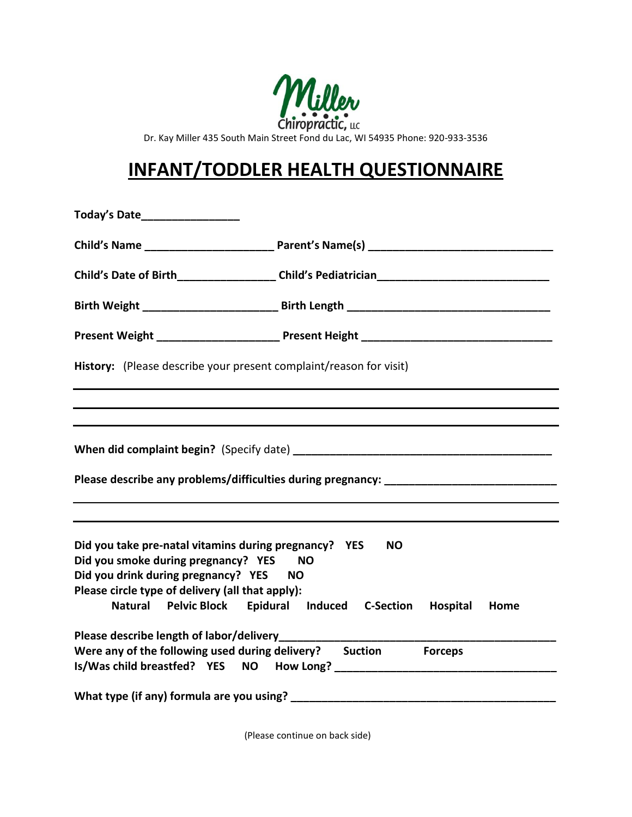

Dr. Kay Miller 435 South Main Street Fond du Lac, WI 54935 Phone: 920-933-3536

## **INFANT/TODDLER HEALTH QUESTIONNAIRE**

| Today's Date                                                                                                                                                                                                                                                                         |                                                                                  |  |  |
|--------------------------------------------------------------------------------------------------------------------------------------------------------------------------------------------------------------------------------------------------------------------------------------|----------------------------------------------------------------------------------|--|--|
|                                                                                                                                                                                                                                                                                      |                                                                                  |  |  |
|                                                                                                                                                                                                                                                                                      |                                                                                  |  |  |
|                                                                                                                                                                                                                                                                                      |                                                                                  |  |  |
|                                                                                                                                                                                                                                                                                      |                                                                                  |  |  |
| History: (Please describe your present complaint/reason for visit)                                                                                                                                                                                                                   |                                                                                  |  |  |
|                                                                                                                                                                                                                                                                                      | ,我们也不会有什么。""我们的人,我们也不会有什么?""我们的人,我们也不会有什么?""我们的人,我们也不会有什么?""我们的人,我们也不会有什么?""我们的人 |  |  |
|                                                                                                                                                                                                                                                                                      |                                                                                  |  |  |
|                                                                                                                                                                                                                                                                                      |                                                                                  |  |  |
| Please describe any problems/difficulties during pregnancy: ___________________________                                                                                                                                                                                              |                                                                                  |  |  |
|                                                                                                                                                                                                                                                                                      |                                                                                  |  |  |
|                                                                                                                                                                                                                                                                                      |                                                                                  |  |  |
| Did you take pre-natal vitamins during pregnancy? YES<br>NΟ<br>Did you smoke during pregnancy? YES<br><b>NO</b><br>Did you drink during pregnancy? YES NO<br>Please circle type of delivery (all that apply):<br>Natural Pelvic Block Epidural Induced C-Section<br>Hospital<br>Home |                                                                                  |  |  |
| Please describe length of labor/delivery<br>Were any of the following used during delivery? Suction                                                                                                                                                                                  | <b>Forceps</b>                                                                   |  |  |
| What type (if any) formula are you using?                                                                                                                                                                                                                                            |                                                                                  |  |  |

(Please continue on back side)